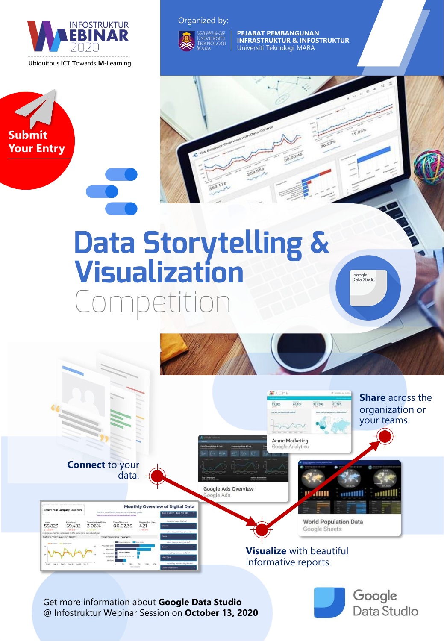

**Submit Your Entry**

#### Organized by:



**PEJABAT PEMBANGUNAN INFRASTRUKTUR & INFOSTRUKTUR** Universiti Teknologi MARA

# **Data Storytelling &<br>Visualization**

Google<br>Data Studio

Google

Data Studio



Get more information about **Google Data Studio**  @ Infostruktur Webinar Session on **October 13, 2020**